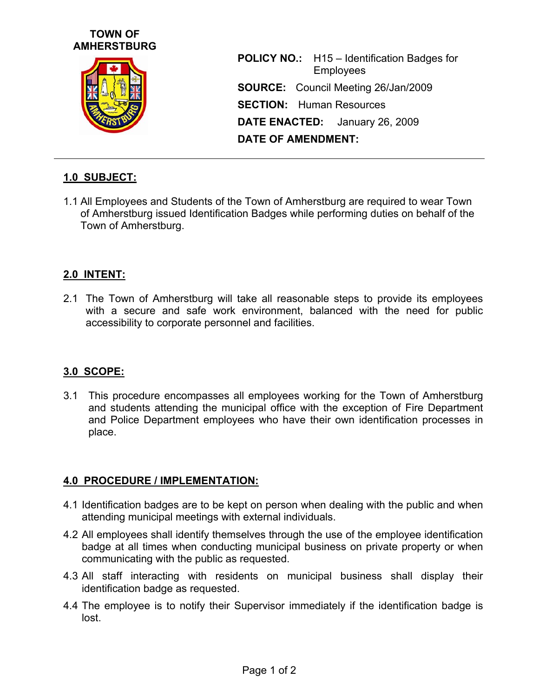## **TOWN OF AMHERSTBURG**



**POLICY NO.:** H15 – Identification Badges for Employees **SOURCE:** Council Meeting 26/Jan/2009 **SECTION:** Human Resources **DATE ENACTED:** January 26, 2009 **DATE OF AMENDMENT:** 

# **1.0 SUBJECT:**

1.1 All Employees and Students of the Town of Amherstburg are required to wear Town of Amherstburg issued Identification Badges while performing duties on behalf of the Town of Amherstburg.

## **2.0 INTENT:**

2.1 The Town of Amherstburg will take all reasonable steps to provide its employees with a secure and safe work environment, balanced with the need for public accessibility to corporate personnel and facilities.

### **3.0 SCOPE:**

3.1 This procedure encompasses all employees working for the Town of Amherstburg and students attending the municipal office with the exception of Fire Department and Police Department employees who have their own identification processes in place.

### **4.0 PROCEDURE / IMPLEMENTATION:**

- 4.1 Identification badges are to be kept on person when dealing with the public and when attending municipal meetings with external individuals.
- 4.2 All employees shall identify themselves through the use of the employee identification badge at all times when conducting municipal business on private property or when communicating with the public as requested.
- 4.3 All staff interacting with residents on municipal business shall display their identification badge as requested.
- 4.4 The employee is to notify their Supervisor immediately if the identification badge is lost.